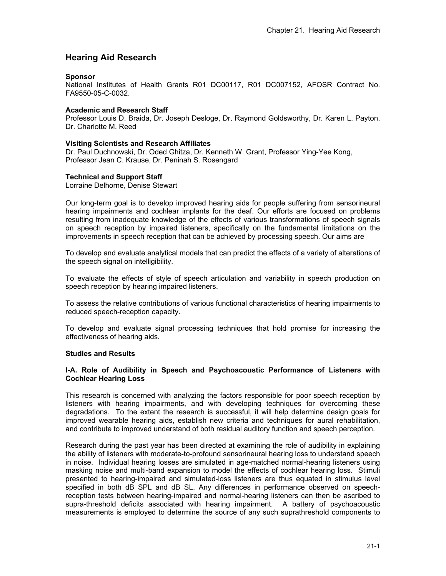# **Hearing Aid Research**

#### **Sponsor**

National Institutes of Health Grants R01 DC00117, R01 DC007152, AFOSR Contract No. FA9550-05-C-0032.

## **Academic and Research Staff**

Professor Louis D. Braida, Dr. Joseph Desloge, Dr. Raymond Goldsworthy, Dr. Karen L. Payton, Dr. Charlotte M. Reed

#### **Visiting Scientists and Research Affiliates**

Dr. Paul Duchnowski, Dr. Oded Ghitza, Dr. Kenneth W. Grant, Professor Ying-Yee Kong, Professor Jean C. Krause, Dr. Peninah S. Rosengard

## **Technical and Support Staff**

Lorraine Delhorne, Denise Stewart

Our long-term goal is to develop improved hearing aids for people suffering from sensorineural hearing impairments and cochlear implants for the deaf. Our efforts are focused on problems resulting from inadequate knowledge of the effects of various transformations of speech signals on speech reception by impaired listeners, specifically on the fundamental limitations on the improvements in speech reception that can be achieved by processing speech. Our aims are

To develop and evaluate analytical models that can predict the effects of a variety of alterations of the speech signal on intelligibility.

To evaluate the effects of style of speech articulation and variability in speech production on speech reception by hearing impaired listeners.

To assess the relative contributions of various functional characteristics of hearing impairments to reduced speech-reception capacity.

To develop and evaluate signal processing techniques that hold promise for increasing the effectiveness of hearing aids.

#### **Studies and Results**

#### **I-A. Role of Audibility in Speech and Psychoacoustic Performance of Listeners with Cochlear Hearing Loss**

This research is concerned with analyzing the factors responsible for poor speech reception by listeners with hearing impairments, and with developing techniques for overcoming these degradations. To the extent the research is successful, it will help determine design goals for improved wearable hearing aids, establish new criteria and techniques for aural rehabilitation, and contribute to improved understand of both residual auditory function and speech perception.

Research during the past year has been directed at examining the role of audibility in explaining the ability of listeners with moderate-to-profound sensorineural hearing loss to understand speech in noise. Individual hearing losses are simulated in age-matched normal-hearing listeners using masking noise and multi-band expansion to model the effects of cochlear hearing loss. Stimuli presented to hearing-impaired and simulated-loss listeners are thus equated in stimulus level specified in both dB SPL and dB SL. Any differences in performance observed on speechreception tests between hearing-impaired and normal-hearing listeners can then be ascribed to supra-threshold deficits associated with hearing impairment. A battery of psychoacoustic measurements is employed to determine the source of any such suprathreshold components to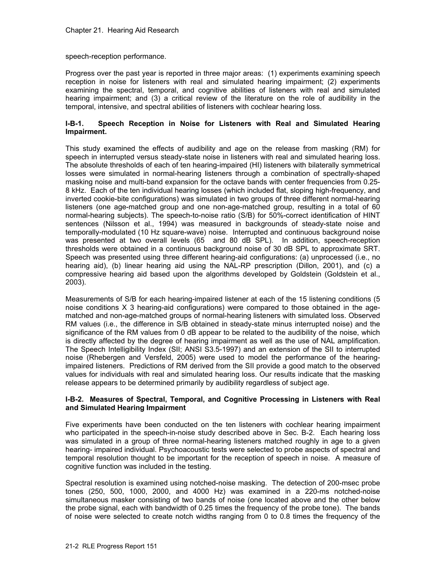speech-reception performance.

Progress over the past year is reported in three major areas: (1) experiments examining speech reception in noise for listeners with real and simulated hearing impairment; (2) experiments examining the spectral, temporal, and cognitive abilities of listeners with real and simulated hearing impairment; and (3) a critical review of the literature on the role of audibility in the temporal, intensive, and spectral abilities of listeners with cochlear hearing loss.

## **I-B-1. Speech Reception in Noise for Listeners with Real and Simulated Hearing Impairment.**

This study examined the effects of audibility and age on the release from masking (RM) for speech in interrupted versus steady-state noise in listeners with real and simulated hearing loss. The absolute thresholds of each of ten hearing-impaired (HI) listeners with bilaterally symmetrical losses were simulated in normal-hearing listeners through a combination of spectrally-shaped masking noise and multi-band expansion for the octave bands with center frequencies from 0.25- 8 kHz. Each of the ten individual hearing losses (which included flat, sloping high-frequency, and inverted cookie-bite configurations) was simulated in two groups of three different normal-hearing listeners (one age-matched group and one non-age-matched group, resulting in a total of 60 normal-hearing subjects). The speech-to-noise ratio (S/B) for 50%-correct identification of HINT sentences (Nilsson et al., 1994) was measured in backgrounds of steady-state noise and temporally-modulated (10 Hz square-wave) noise. Interrupted and continuous background noise was presented at two overall levels (65 and 80 dB SPL). In addition, speech-reception thresholds were obtained in a continuous background noise of 30 dB SPL to approximate SRT. Speech was presented using three different hearing-aid configurations: (a) unprocessed (i.e., no hearing aid), (b) linear hearing aid using the NAL-RP prescription (Dillon, 2001), and (c) a compressive hearing aid based upon the algorithms developed by Goldstein (Goldstein et al., 2003).

Measurements of S/B for each hearing-impaired listener at each of the 15 listening conditions (5 noise conditions X 3 hearing-aid configurations) were compared to those obtained in the agematched and non-age-matched groups of normal-hearing listeners with simulated loss. Observed RM values (i.e., the difference in S/B obtained in steady-state minus interrupted noise) and the significance of the RM values from 0 dB appear to be related to the audibility of the noise, which is directly affected by the degree of hearing impairment as well as the use of NAL amplification. The Speech Intelligibility Index (SII; ANSI S3.5-1997) and an extension of the SII to interrupted noise (Rhebergen and Versfeld, 2005) were used to model the performance of the hearingimpaired listeners. Predictions of RM derived from the SII provide a good match to the observed values for individuals with real and simulated hearing loss. Our results indicate that the masking release appears to be determined primarily by audibility regardless of subject age.

## **I-B-2. Measures of Spectral, Temporal, and Cognitive Processing in Listeners with Real and Simulated Hearing Impairment**

Five experiments have been conducted on the ten listeners with cochlear hearing impairment who participated in the speech-in-noise study described above in Sec. B-2. Each hearing loss was simulated in a group of three normal-hearing listeners matched roughly in age to a given hearing- impaired individual. Psychoacoustic tests were selected to probe aspects of spectral and temporal resolution thought to be important for the reception of speech in noise. A measure of cognitive function was included in the testing.

Spectral resolution is examined using notched-noise masking. The detection of 200-msec probe tones (250, 500, 1000, 2000, and 4000 Hz) was examined in a 220-ms notched-noise simultaneous masker consisting of two bands of noise (one located above and the other below the probe signal, each with bandwidth of 0.25 times the frequency of the probe tone). The bands of noise were selected to create notch widths ranging from 0 to 0.8 times the frequency of the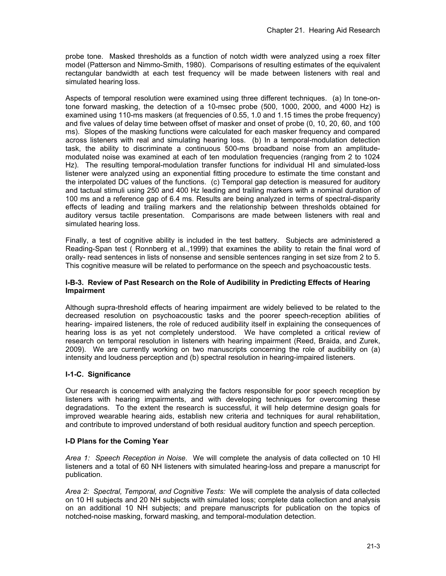probe tone. Masked thresholds as a function of notch width were analyzed using a roex filter model (Patterson and Nimmo-Smith, 1980). Comparisons of resulting estimates of the equivalent rectangular bandwidth at each test frequency will be made between listeners with real and simulated hearing loss.

Aspects of temporal resolution were examined using three different techniques. (a) In tone-ontone forward masking, the detection of a 10-msec probe (500, 1000, 2000, and 4000 Hz) is examined using 110-ms maskers (at frequencies of 0.55, 1.0 and 1.15 times the probe frequency) and five values of delay time between offset of masker and onset of probe (0, 10, 20, 60, and 100 ms). Slopes of the masking functions were calculated for each masker frequency and compared across listeners with real and simulating hearing loss. (b) In a temporal-modulation detection task, the ability to discriminate a continuous 500-ms broadband noise from an amplitudemodulated noise was examined at each of ten modulation frequencies (ranging from 2 to 1024 Hz). The resulting temporal-modulation transfer functions for individual HI and simulated-loss listener were analyzed using an exponential fitting procedure to estimate the time constant and the interpolated DC values of the functions. (c) Temporal gap detection is measured for auditory and tactual stimuli using 250 and 400 Hz leading and trailing markers with a nominal duration of 100 ms and a reference gap of 6.4 ms. Results are being analyzed in terms of spectral-disparity effects of leading and trailing markers and the relationship between thresholds obtained for auditory versus tactile presentation. Comparisons are made between listeners with real and simulated hearing loss.

Finally, a test of cognitive ability is included in the test battery. Subjects are administered a Reading-Span test ( Ronnberg et al.,1999) that examines the ability to retain the final word of orally- read sentences in lists of nonsense and sensible sentences ranging in set size from 2 to 5. This cognitive measure will be related to performance on the speech and psychoacoustic tests.

#### **I-B-3. Review of Past Research on the Role of Audibility in Predicting Effects of Hearing Impairment**

Although supra-threshold effects of hearing impairment are widely believed to be related to the decreased resolution on psychoacoustic tasks and the poorer speech-reception abilities of hearing- impaired listeners, the role of reduced audibility itself in explaining the consequences of hearing loss is as yet not completely understood. We have completed a critical review of research on temporal resolution in listeners with hearing impairment (Reed, Braida, and Zurek, 2009). We are currently working on two manuscripts concerning the role of audibility on (a) intensity and loudness perception and (b) spectral resolution in hearing-impaired listeners.

## **I-1-C. Significance**

Our research is concerned with analyzing the factors responsible for poor speech reception by listeners with hearing impairments, and with developing techniques for overcoming these degradations. To the extent the research is successful, it will help determine design goals for improved wearable hearing aids, establish new criteria and techniques for aural rehabilitation, and contribute to improved understand of both residual auditory function and speech perception.

#### **I-D Plans for the Coming Year**

*Area 1: Speech Reception in Noise.* We will complete the analysis of data collected on 10 HI listeners and a total of 60 NH listeners with simulated hearing-loss and prepare a manuscript for publication.

*Area 2: Spectral, Temporal, and Cognitive Tests:* We will complete the analysis of data collected on 10 HI subjects and 20 NH subjects with simulated loss; complete data collection and analysis on an additional 10 NH subjects; and prepare manuscripts for publication on the topics of notched-noise masking, forward masking, and temporal-modulation detection.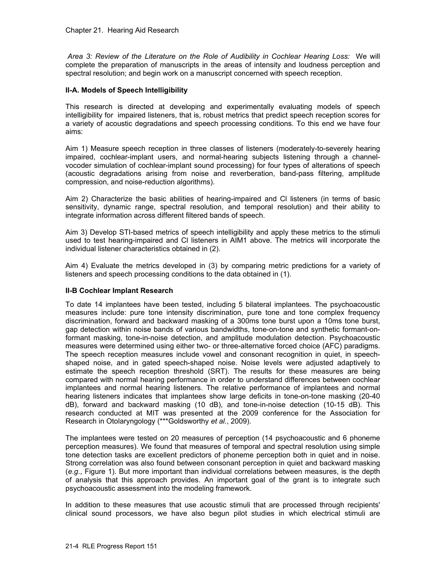*Area 3: Review of the Literature on the Role of Audibility in Cochlear Hearing Loss:* We will complete the preparation of manuscripts in the areas of intensity and loudness perception and spectral resolution; and begin work on a manuscript concerned with speech reception.

#### **II-A. Models of Speech Intelligibility**

This research is directed at developing and experimentally evaluating models of speech intelligibility for impaired listeners, that is, robust metrics that predict speech reception scores for a variety of acoustic degradations and speech processing conditions. To this end we have four aims:

Aim 1) Measure speech reception in three classes of listeners (moderately-to-severely hearing impaired, cochlear-implant users, and normal-hearing subjects listening through a channelvocoder simulation of cochlear-implant sound processing) for four types of alterations of speech (acoustic degradations arising from noise and reverberation, band-pass filtering, amplitude compression, and noise-reduction algorithms).

Aim 2) Characterize the basic abilities of hearing-impaired and Cl listeners (in terms of basic sensitivity, dynamic range, spectral resolution, and temporal resolution) and their ability to integrate information across different filtered bands of speech.

Aim 3) Develop STI-based metrics of speech intelligibility and apply these metrics to the stimuli used to test hearing-impaired and Cl listeners in AIM1 above. The metrics will incorporate the individual listener characteristics obtained in (2).

Aim 4) Evaluate the metrics developed in (3) by comparing metric predictions for a variety of listeners and speech processing conditions to the data obtained in (1).

#### **II-B Cochlear Implant Research**

To date 14 implantees have been tested, including 5 bilateral implantees. The psychoacoustic measures include: pure tone intensity discrimination, pure tone and tone complex frequency discrimination, forward and backward masking of a 300ms tone burst upon a 10ms tone burst, gap detection within noise bands of various bandwidths, tone-on-tone and synthetic formant-onformant masking, tone-in-noise detection, and amplitude modulation detection. Psychoacoustic measures were determined using either two- or three-alternative forced choice (AFC) paradigms. The speech reception measures include vowel and consonant recognition in quiet, in speechshaped noise, and in gated speech-shaped noise. Noise levels were adjusted adaptively to estimate the speech reception threshold (SRT). The results for these measures are being compared with normal hearing performance in order to understand differences between cochlear implantees and normal hearing listeners. The relative performance of implantees and normal hearing listeners indicates that implantees show large deficits in tone-on-tone masking (20-40 dB), forward and backward masking (10 dB), and tone-in-noise detection (10-15 dB). This research conducted at MIT was presented at the 2009 conference for the Association for Research in Otolaryngology (\*\*\*Goldsworthy *et al.*, 2009).

The implantees were tested on 20 measures of perception (14 psychoacoustic and 6 phoneme perception measures). We found that measures of temporal and spectral resolution using simple tone detection tasks are excellent predictors of phoneme perception both in quiet and in noise. Strong correlation was also found between consonant perception in quiet and backward masking (*e.g*., Figure 1). But more important than individual correlations between measures, is the depth of analysis that this approach provides. An important goal of the grant is to integrate such psychoacoustic assessment into the modeling framework.

In addition to these measures that use acoustic stimuli that are processed through recipients' clinical sound processors, we have also begun pilot studies in which electrical stimuli are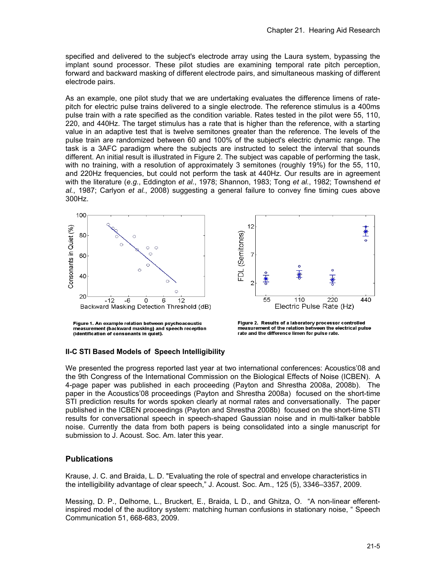specified and delivered to the subject's electrode array using the Laura system, bypassing the implant sound processor. These pilot studies are examining temporal rate pitch perception, forward and backward masking of different electrode pairs, and simultaneous masking of different electrode pairs.

As an example, one pilot study that we are undertaking evaluates the difference limens of ratepitch for electric pulse trains delivered to a single electrode. The reference stimulus is a 400ms pulse train with a rate specified as the condition variable. Rates tested in the pilot were 55, 110, 220, and 440Hz. The target stimulus has a rate that is higher than the reference, with a starting value in an adaptive test that is twelve semitones greater than the reference. The levels of the pulse train are randomized between 60 and 100% of the subject's electric dynamic range. The task is a 3AFC paradigm where the subjects are instructed to select the interval that sounds different. An initial result is illustrated in Figure 2. The subject was capable of performing the task, with no training, with a resolution of approximately 3 semitones (roughly 19%) for the 55, 110, and 220Hz frequencies, but could not perform the task at 440Hz. Our results are in agreement with the literature (*e.g.*, Eddington *et al.*, 1978; Shannon, 1983; Tong *et al.*, 1982; Townshend *et al.*, 1987; Carlyon *et al.*, 2008) suggesting a general failure to convey fine timing cues above 300Hz.



#### **II-C STI Based Models of Speech Intelligibility**

We presented the progress reported last year at two international conferences: Acoustics'08 and the 9th Congress of the International Commission on the Biological Effects of Noise (ICBEN). A 4-page paper was published in each proceeding (Payton and Shrestha 2008a, 2008b). The paper in the Acoustics'08 proceedings (Payton and Shrestha 2008a) focused on the short-time STI prediction results for words spoken clearly at normal rates and conversationally. The paper published in the ICBEN proceedings (Payton and Shrestha 2008b) focused on the short-time STI results for conversational speech in speech-shaped Gaussian noise and in multi-talker babble noise. Currently the data from both papers is being consolidated into a single manuscript for submission to J. Acoust. Soc. Am. later this year.

#### **Publications**

Krause, J. C. and Braida, L. D. "Evaluating the role of spectral and envelope characteristics in the intelligibility advantage of clear speech," J. Acoust. Soc. Am., 125 (5), 3346–3357, 2009.

Messing, D. P., Delhorne, L., Bruckert, E., Braida, L D., and Ghitza, O. "A non-linear efferentinspired model of the auditory system: matching human confusions in stationary noise, " Speech Communication 51, 668-683, 2009.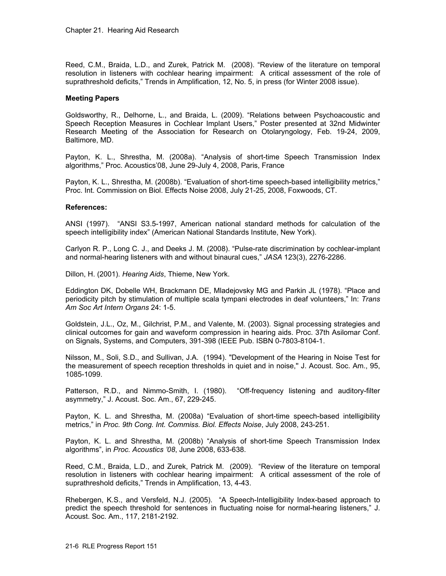Reed, C.M., Braida, L.D., and Zurek, Patrick M. (2008). "Review of the literature on temporal resolution in listeners with cochlear hearing impairment: A critical assessment of the role of suprathreshold deficits," Trends in Amplification, 12, No. 5, in press (for Winter 2008 issue).

#### **Meeting Papers**

Goldsworthy, R., Delhorne, L., and Braida, L. (2009). "Relations between Psychoacoustic and Speech Reception Measures in Cochlear Implant Users," Poster presented at 32nd Midwinter Research Meeting of the Association for Research on Otolaryngology, Feb. 19-24, 2009, Baltimore, MD.

Payton, K. L., Shrestha, M. (2008a). "Analysis of short-time Speech Transmission Index algorithms," Proc. Acoustics'08, June 29-July 4, 2008, Paris, France

Payton, K. L., Shrestha, M. (2008b). "Evaluation of short-time speech-based intelligibility metrics," Proc. Int. Commission on Biol. Effects Noise 2008, July 21-25, 2008, Foxwoods, CT.

#### **References:**

ANSI (1997). "ANSI S3.5-1997, American national standard methods for calculation of the speech intelligibility index" (American National Standards Institute, New York).

Carlyon R. P., Long C. J., and Deeks J. M. (2008). "Pulse-rate discrimination by cochlear-implant and normal-hearing listeners with and without binaural cues," *JASA* 123(3), 2276-2286.

Dillon, H. (2001). *Hearing Aids*, Thieme, New York.

Eddington DK, Dobelle WH, Brackmann DE, Mladejovsky MG and Parkin JL (1978). "Place and periodicity pitch by stimulation of multiple scala tympani electrodes in deaf volunteers," In: *Trans Am Soc Art Intern Organs* 24: 1-5.

Goldstein, J.L., Oz, M., Gilchrist, P.M., and Valente, M. (2003). Signal processing strategies and clinical outcomes for gain and waveform compression in hearing aids. Proc. 37th Asilomar Conf. on Signals, Systems, and Computers, 391-398 (IEEE Pub. ISBN 0-7803-8104-1.

Nilsson, M., Soli, S.D., and Sullivan, J.A. (1994). "Development of the Hearing in Noise Test for the measurement of speech reception thresholds in quiet and in noise,'' J. Acoust. Soc. Am., 95, 1085-1099.

Patterson, R.D., and Nimmo-Smith, I. (1980). "Off-frequency listening and auditory-filter asymmetry," J. Acoust. Soc. Am., 67, 229-245.

Payton, K. L. and Shrestha, M. (2008a) "Evaluation of short-time speech-based intelligibility metrics," in *Proc. 9th Cong. Int. Commiss. Biol. Effects Noise*, July 2008, 243-251.

Payton, K. L. and Shrestha, M. (2008b) "Analysis of short-time Speech Transmission Index algorithms", in *Proc. Acoustics '08*, June 2008, 633-638.

Reed, C.M., Braida, L.D., and Zurek, Patrick M. (2009). "Review of the literature on temporal resolution in listeners with cochlear hearing impairment: A critical assessment of the role of suprathreshold deficits," Trends in Amplification, 13, 4-43.

Rhebergen, K.S., and Versfeld, N.J. (2005). "A Speech-Intelligibility Index-based approach to predict the speech threshold for sentences in fluctuating noise for normal-hearing listeners," J. Acoust. Soc. Am., 117, 2181-2192.